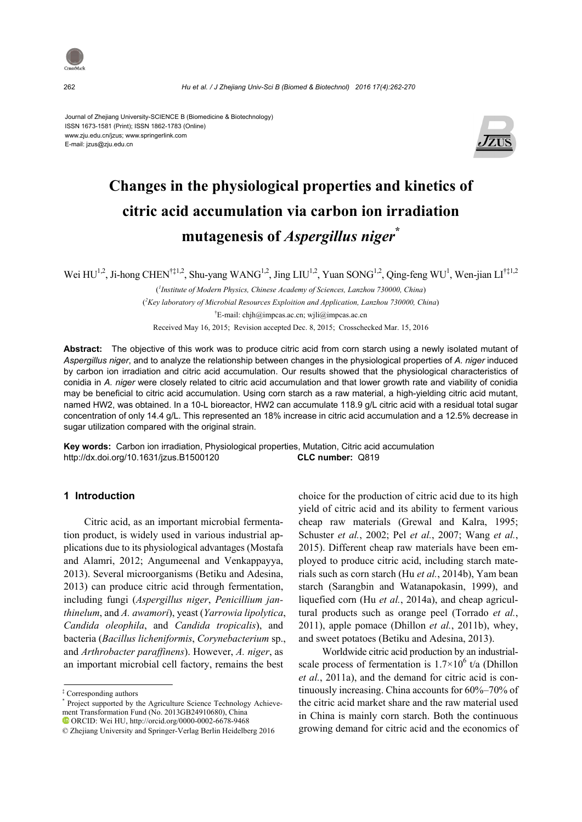

262 *Hu et al. / J Zhejiang Univ-Sci B (Biomed & Biotechnol) 2016 17(4):262-270*

Journal of Zhejiang University-SCIENCE B (Biomedicine & Biotechnology) ISSN 1673-1581 (Print); ISSN 1862-1783 (Online) www.zju.edu.cn/jzus; www.springerlink.com E-mail: jzus@zju.edu.cn



# **Changes in the physiological properties and kinetics of citric acid accumulation via carbon ion irradiation mutagenesis of** *Aspergillus niger***\***

Wei  $HU^{1,2}$ , Ji-hong CHEN<sup>†‡1,2</sup>, Shu-yang WANG<sup>1,2</sup>, Jing LIU<sup>1,2</sup>, Yuan SONG<sup>1,2</sup>, Qing-feng WU<sup>1</sup>, Wen-jian LI<sup>†‡1,2</sup>

( *1 Institute of Modern Physics, Chinese Academy of Sciences, Lanzhou 730000, China*) ( *2 Key laboratory of Microbial Resources Exploition and Application, Lanzhou 730000, China*) † E-mail: chjh@impcas.ac.cn; wjli@impcas.ac.cn

Received May 16, 2015; Revision accepted Dec. 8, 2015; Crosschecked Mar. 15, 2016

**Abstract:** The objective of this work was to produce citric acid from corn starch using a newly isolated mutant of *Aspergillus niger*, and to analyze the relationship between changes in the physiological properties of *A. niger* induced by carbon ion irradiation and citric acid accumulation. Our results showed that the physiological characteristics of conidia in *A. niger* were closely related to citric acid accumulation and that lower growth rate and viability of conidia may be beneficial to citric acid accumulation. Using corn starch as a raw material, a high-yielding citric acid mutant, named HW2, was obtained. In a 10-L bioreactor, HW2 can accumulate 118.9 g/L citric acid with a residual total sugar concentration of only 14.4 g/L. This represented an 18% increase in citric acid accumulation and a 12.5% decrease in sugar utilization compared with the original strain.

**Key words:** Carbon ion irradiation, Physiological properties, Mutation, Citric acid accumulation http://dx.doi.org/10.1631/jzus.B1500120 **CLC number:** Q819

### **1 Introduction**

Citric acid, as an important microbial fermentation product, is widely used in various industrial applications due to its physiological advantages (Mostafa and Alamri, 2012; Angumeenal and Venkappayya, 2013). Several microorganisms (Betiku and Adesina, 2013) can produce citric acid through fermentation, including fungi (*Aspergillus niger*, *Penicillium janthinelum*, and *A. awamori*), yeast (*Yarrowia lipolytica*, *Candida oleophila*, and *Candida tropicalis*), and bacteria (*Bacillus licheniformis*, *Corynebacterium* sp., and *Arthrobacter paraffinens*). However, *A. niger*, as an important microbial cell factory, remains the best

choice for the production of citric acid due to its high yield of citric acid and its ability to ferment various cheap raw materials (Grewal and Kalra, 1995; Schuster *et al.*, 2002; Pel *et al.*, 2007; Wang *et al.*, 2015). Different cheap raw materials have been employed to produce citric acid, including starch materials such as corn starch (Hu *et al.*, 2014b), Yam bean starch (Sarangbin and Watanapokasin, 1999), and liquefied corn (Hu *et al.*, 2014a), and cheap agricultural products such as orange peel (Torrado *et al.*, 2011), apple pomace (Dhillon *et al.*, 2011b), whey, and sweet potatoes (Betiku and Adesina, 2013).

Worldwide citric acid production by an industrialscale process of fermentation is  $1.7 \times 10^6$  t/a (Dhillon *et al.*, 2011a), and the demand for citric acid is continuously increasing. China accounts for 60%–70% of the citric acid market share and the raw material used in China is mainly corn starch. Both the continuous growing demand for citric acid and the economics of

<sup>‡</sup> Corresponding authors

<sup>\*</sup> Project supported by the Agriculture Science Technology Achievement Transformation Fund (No. 2013GB24910680), China ORCID: Wei HU, http://orcid.org/0000-0002-6678-9468

<sup>©</sup> Zhejiang University and Springer-Verlag Berlin Heidelberg 2016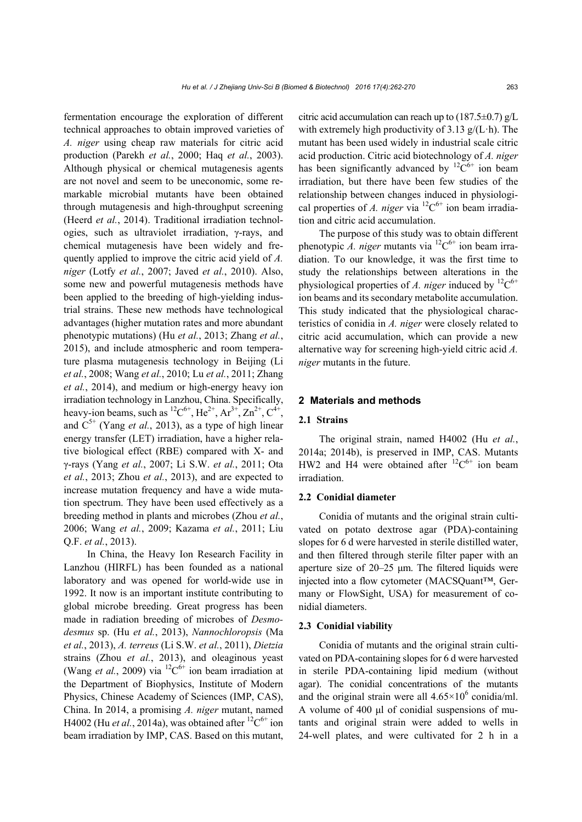fermentation encourage the exploration of different technical approaches to obtain improved varieties of *A. niger* using cheap raw materials for citric acid production (Parekh *et al.*, 2000; Haq *et al.*, 2003). Although physical or chemical mutagenesis agents are not novel and seem to be uneconomic, some remarkable microbial mutants have been obtained through mutagenesis and high-throughput screening (Heerd *et al.*, 2014). Traditional irradiation technologies, such as ultraviolet irradiation, γ-rays, and chemical mutagenesis have been widely and frequently applied to improve the citric acid yield of *A. niger* (Lotfy *et al.*, 2007; Javed *et al.*, 2010). Also, some new and powerful mutagenesis methods have been applied to the breeding of high-yielding industrial strains. These new methods have technological advantages (higher mutation rates and more abundant phenotypic mutations) (Hu *et al.*, 2013; Zhang *et al.*, 2015), and include atmospheric and room temperature plasma mutagenesis technology in Beijing (Li *et al.*, 2008; Wang *et al.*, 2010; Lu *et al.*, 2011; Zhang *et al.*, 2014), and medium or high-energy heavy ion irradiation technology in Lanzhou, China. Specifically, heavy-ion beams, such as  ${}^{12}C^{6+}$ , He<sup>2+</sup>, Ar<sup>3+</sup>, Zn<sup>2+</sup>, C<sup>4+</sup>, and  $C^{5+}$  (Yang *et al.*, 2013), as a type of high linear energy transfer (LET) irradiation, have a higher relative biological effect (RBE) compared with X- and γ-rays (Yang *et al.*, 2007; Li S.W. *et al.*, 2011; Ota *et al.*, 2013; Zhou *et al.*, 2013), and are expected to increase mutation frequency and have a wide mutation spectrum. They have been used effectively as a breeding method in plants and microbes (Zhou *et al.*, 2006; Wang *et al.*, 2009; Kazama *et al.*, 2011; Liu Q.F. *et al.*, 2013).

In China, the Heavy Ion Research Facility in Lanzhou (HIRFL) has been founded as a national laboratory and was opened for world-wide use in 1992. It now is an important institute contributing to global microbe breeding. Great progress has been made in radiation breeding of microbes of *Desmodesmus* sp. (Hu *et al.*, 2013), *Nannochloropsis* (Ma *et al.*, 2013), *A. terreus* (Li S.W. *et al.*, 2011), *Dietzia*  strains (Zhou *et al.*, 2013), and oleaginous yeast (Wang *et al.*, 2009) via <sup>12</sup> $C^{6+}$  ion beam irradiation at the Department of Biophysics, Institute of Modern Physics, Chinese Academy of Sciences (IMP, CAS), China. In 2014, a promising *A. niger* mutant, named H4002 (Hu *et al.*, 2014a), was obtained after  ${}^{12}C^{6+}$  ion beam irradiation by IMP, CAS. Based on this mutant,

citric acid accumulation can reach up to  $(187.5\pm0.7)$  g/L with extremely high productivity of 3.13  $g/(L \cdot h)$ . The mutant has been used widely in industrial scale citric acid production. Citric acid biotechnology of *A. niger* has been significantly advanced by  ${}^{12}C^{6+}$  ion beam irradiation, but there have been few studies of the relationship between changes induced in physiological properties of *A. niger* via  ${}^{12}C^{6+}$  ion beam irradiation and citric acid accumulation.

The purpose of this study was to obtain different phenotypic *A. niger* mutants via <sup>12</sup> $C^{6+}$  ion beam irradiation. To our knowledge, it was the first time to study the relationships between alterations in the physiological properties of *A. niger* induced by <sup>12</sup> $C^{6+}$ ion beams and its secondary metabolite accumulation. This study indicated that the physiological characteristics of conidia in *A. niger* were closely related to citric acid accumulation, which can provide a new alternative way for screening high-yield citric acid *A. niger* mutants in the future.

# **2 Materials and methods**

#### **2.1 Strains**

The original strain, named H4002 (Hu *et al.*, 2014a; 2014b), is preserved in IMP, CAS. Mutants HW2 and H4 were obtained after  ${}^{12}C^{6+}$  ion beam irradiation.

## **2.2 Conidial diameter**

Conidia of mutants and the original strain cultivated on potato dextrose agar (PDA)-containing slopes for 6 d were harvested in sterile distilled water, and then filtered through sterile filter paper with an aperture size of 20–25 μm. The filtered liquids were injected into a flow cytometer (MACSQuant™, Germany or FlowSight, USA) for measurement of conidial diameters.

#### **2.3 Conidial viability**

Conidia of mutants and the original strain cultivated on PDA-containing slopes for 6 d were harvested in sterile PDA-containing lipid medium (without agar). The conidial concentrations of the mutants and the original strain were all  $4.65 \times 10^6$  conidia/ml. A volume of 400 μl of conidial suspensions of mutants and original strain were added to wells in 24-well plates, and were cultivated for 2 h in a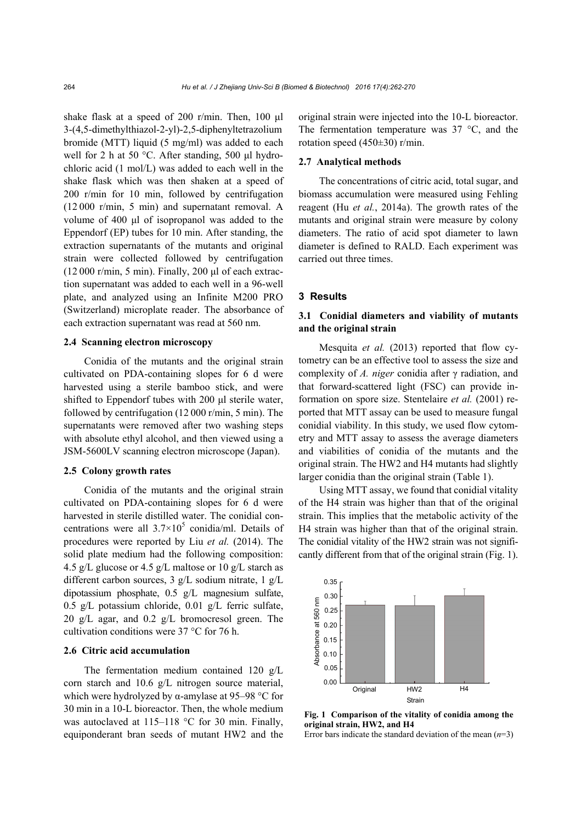shake flask at a speed of 200 r/min. Then, 100 μl 3-(4,5-dimethylthiazol-2-yl)-2,5-diphenyltetrazolium bromide (MTT) liquid (5 mg/ml) was added to each well for 2 h at 50 °C. After standing, 500 μl hydrochloric acid (1 mol/L) was added to each well in the shake flask which was then shaken at a speed of 200 r/min for 10 min, followed by centrifugation (12 000 r/min, 5 min) and supernatant removal. A volume of 400 μl of isopropanol was added to the Eppendorf (EP) tubes for 10 min. After standing, the extraction supernatants of the mutants and original strain were collected followed by centrifugation  $(12 000$  r/min, 5 min). Finally, 200 μl of each extraction supernatant was added to each well in a 96-well plate, and analyzed using an Infinite M200 PRO (Switzerland) microplate reader. The absorbance of each extraction supernatant was read at 560 nm.

#### **2.4 Scanning electron microscopy**

Conidia of the mutants and the original strain cultivated on PDA-containing slopes for 6 d were harvested using a sterile bamboo stick, and were shifted to Eppendorf tubes with 200 μl sterile water, followed by centrifugation (12 000 r/min, 5 min). The supernatants were removed after two washing steps with absolute ethyl alcohol, and then viewed using a JSM-5600LV scanning electron microscope (Japan).

#### **2.5 Colony growth rates**

Conidia of the mutants and the original strain cultivated on PDA-containing slopes for 6 d were harvested in sterile distilled water. The conidial concentrations were all  $3.7 \times 10^5$  conidia/ml. Details of procedures were reported by Liu *et al.* (2014). The solid plate medium had the following composition: 4.5 g/L glucose or 4.5 g/L maltose or 10 g/L starch as different carbon sources, 3 g/L sodium nitrate, 1 g/L dipotassium phosphate, 0.5 g/L magnesium sulfate, 0.5 g/L potassium chloride, 0.01 g/L ferric sulfate, 20 g/L agar, and  $0.2$  g/L bromocresol green. The cultivation conditions were 37 °C for 76 h.

#### **2.6 Citric acid accumulation**

The fermentation medium contained 120 g/L corn starch and 10.6 g/L nitrogen source material, which were hydrolyzed by  $\alpha$ -amylase at 95–98 °C for 30 min in a 10-L bioreactor. Then, the whole medium was autoclaved at 115–118 °C for 30 min. Finally, equiponderant bran seeds of mutant HW2 and the original strain were injected into the 10-L bioreactor. The fermentation temperature was 37 °C, and the rotation speed (450±30) r/min.

#### **2.7 Analytical methods**

The concentrations of citric acid, total sugar, and biomass accumulation were measured using Fehling reagent (Hu *et al.*, 2014a). The growth rates of the mutants and original strain were measure by colony diameters. The ratio of acid spot diameter to lawn diameter is defined to RALD. Each experiment was carried out three times.

#### **3 Results**

# **3.1 Conidial diameters and viability of mutants and the original strain**

Mesquita *et al.* (2013) reported that flow cytometry can be an effective tool to assess the size and complexity of *A. niger* conidia after γ radiation, and that forward-scattered light (FSC) can provide information on spore size. Stentelaire *et al.* (2001) reported that MTT assay can be used to measure fungal conidial viability. In this study, we used flow cytometry and MTT assay to assess the average diameters and viabilities of conidia of the mutants and the original strain. The HW2 and H4 mutants had slightly larger conidia than the original strain (Table 1).

Using MTT assay, we found that conidial vitality of the H4 strain was higher than that of the original strain. This implies that the metabolic activity of the H4 strain was higher than that of the original strain. The conidial vitality of the HW2 strain was not significantly different from that of the original strain (Fig. 1).



**Fig. 1 Comparison of the vitality of conidia among the original strain, HW2, and H4** 

Error bars indicate the standard deviation of the mean (*n*=3)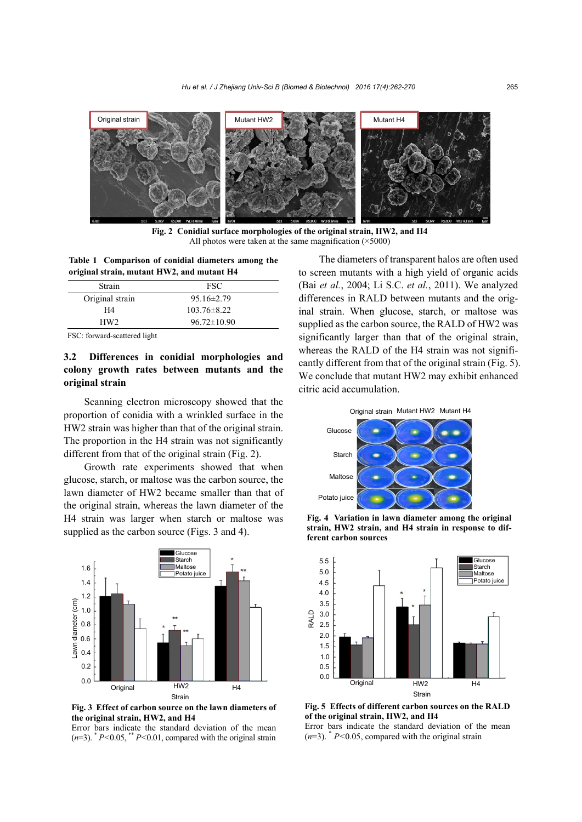

**Fig. 2 Conidial surface morphologies of the original strain, HW2, and H4**  All photos were taken at the same magnification (×5000)

**Table 1 Comparison of conidial diameters among the original strain, mutant HW2, and mutant H4** 

| <b>FSC</b>        |  |
|-------------------|--|
| $95.16 \pm 2.79$  |  |
| $103.76 \pm 8.22$ |  |
| $96.72 \pm 10.90$ |  |
|                   |  |

FSC: forward-scattered light

# **3.2 Differences in conidial morphologies and colony growth rates between mutants and the original strain**

Scanning electron microscopy showed that the proportion of conidia with a wrinkled surface in the HW2 strain was higher than that of the original strain. The proportion in the H4 strain was not significantly different from that of the original strain (Fig. 2).

Growth rate experiments showed that when glucose, starch, or maltose was the carbon source, the lawn diameter of HW2 became smaller than that of the original strain, whereas the lawn diameter of the H4 strain was larger when starch or maltose was supplied as the carbon source (Figs. 3 and 4).



**Fig. 3 Effect of carbon source on the lawn diameters of the original strain, HW2, and H4** 

Error bars indicate the standard deviation of the mean  $(n=3)$ .  $P<0.05$ ,  $P<0.01$ , compared with the original strain

The diameters of transparent halos are often used to screen mutants with a high yield of organic acids (Bai *et al.*, 2004; Li S.C. *et al.*, 2011). We analyzed differences in RALD between mutants and the original strain. When glucose, starch, or maltose was supplied as the carbon source, the RALD of HW2 was significantly larger than that of the original strain, whereas the RALD of the H4 strain was not significantly different from that of the original strain (Fig. 5). We conclude that mutant HW2 may exhibit enhanced citric acid accumulation.



**Fig. 4 Variation in lawn diameter among the original strain, HW2 strain, and H4 strain in response to different carbon sources** 



**Fig. 5 Effects of different carbon sources on the RALD of the original strain, HW2, and H4** 

Error bars indicate the standard deviation of the mean  $(n=3)$ .  $P<0.05$ , compared with the original strain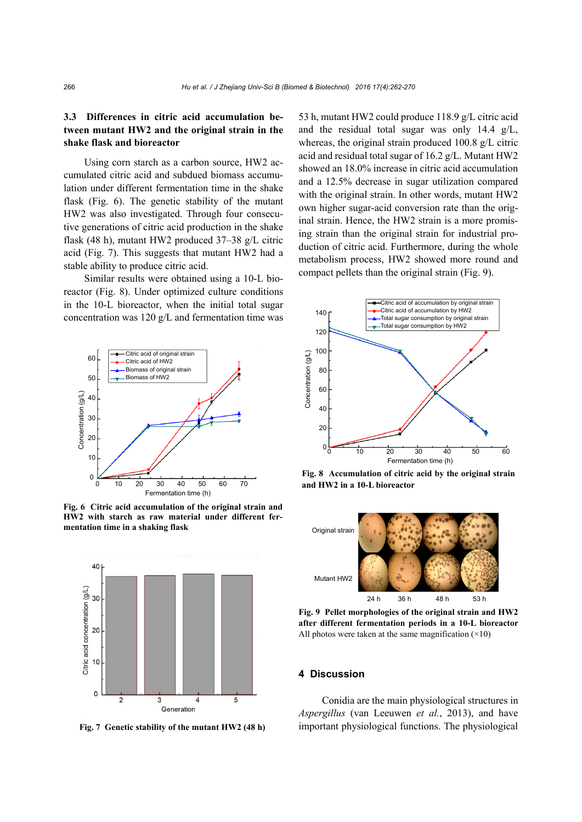# **3.3 Differences in citric acid accumulation between mutant HW2 and the original strain in the shake flask and bioreactor**

Using corn starch as a carbon source, HW2 accumulated citric acid and subdued biomass accumulation under different fermentation time in the shake flask (Fig. 6). The genetic stability of the mutant HW2 was also investigated. Through four consecutive generations of citric acid production in the shake flask (48 h), mutant HW2 produced 37–38 g/L citric acid (Fig. 7). This suggests that mutant HW2 had a stable ability to produce citric acid.

Similar results were obtained using a 10-L bioreactor (Fig. 8). Under optimized culture conditions in the 10-L bioreactor, when the initial total sugar concentration was 120 g/L and fermentation time was



**Fig. 6 Citric acid accumulation of the original strain and HW2 with starch as raw material under different fer-**



**Fig. 7 Genetic stability of the mutant HW2 (48 h)** 

53 h, mutant HW2 could produce 118.9 g/L citric acid and the residual total sugar was only 14.4 g/L, whereas, the original strain produced 100.8 g/L citric acid and residual total sugar of 16.2 g/L. Mutant HW2 showed an 18.0% increase in citric acid accumulation and a 12.5% decrease in sugar utilization compared with the original strain. In other words, mutant HW2 own higher sugar-acid conversion rate than the original strain. Hence, the HW2 strain is a more promising strain than the original strain for industrial production of citric acid. Furthermore, during the whole metabolism process, HW2 showed more round and compact pellets than the original strain (Fig. 9).



**Fig. 8 Accumulation of citric acid by the original strain and HW2 in a 10-L bioreactor** 



**Fig. 9 Pellet morphologies of the original strain and HW2 after different fermentation periods in a 10-L bioreactor** All photos were taken at the same magnification  $(\times 10)$ 

#### **4 Discussion**

Conidia are the main physiological structures in *Aspergillus* (van Leeuwen *et al.*, 2013), and have important physiological functions. The physiological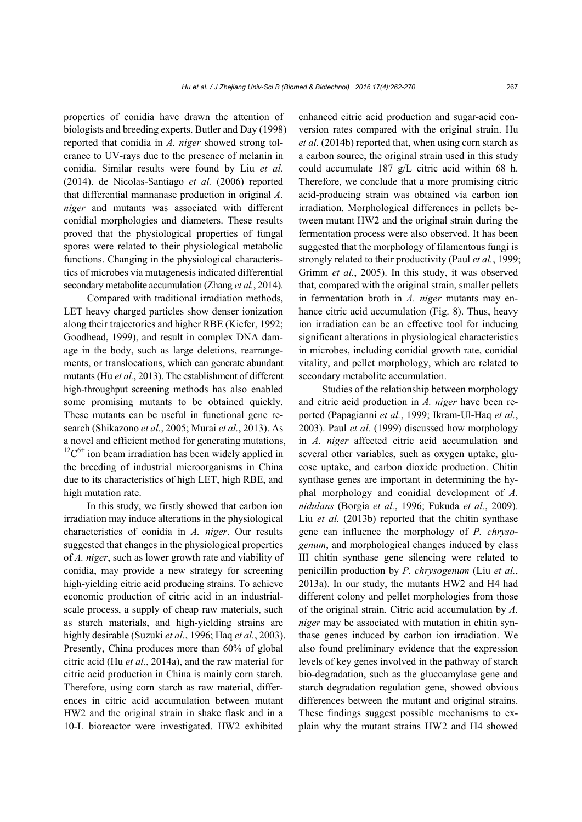properties of conidia have drawn the attention of biologists and breeding experts. Butler and Day (1998) reported that conidia in *A. niger* showed strong tolerance to UV-rays due to the presence of melanin in conidia. Similar results were found by Liu *et al.* (2014). de Nicolas-Santiago *et al.* (2006) reported that differential mannanase production in original *A. niger* and mutants was associated with different conidial morphologies and diameters. These results proved that the physiological properties of fungal spores were related to their physiological metabolic functions. Changing in the physiological characteristics of microbes via mutagenesis indicated differential secondary metabolite accumulation (Zhang *et al.*, 2014).

Compared with traditional irradiation methods, LET heavy charged particles show denser ionization along their trajectories and higher RBE (Kiefer, 1992; Goodhead, 1999), and result in complex DNA damage in the body, such as large deletions, rearrangements, or translocations, which can generate abundant mutants (Hu *et al.*, 2013). The establishment of different high-throughput screening methods has also enabled some promising mutants to be obtained quickly. These mutants can be useful in functional gene research (Shikazono *et al.*, 2005; Murai *et al.*, 2013). As a novel and efficient method for generating mutations,  ${}^{12}C^{6+}$  ion beam irradiation has been widely applied in the breeding of industrial microorganisms in China due to its characteristics of high LET, high RBE, and high mutation rate.

In this study, we firstly showed that carbon ion irradiation may induce alterations in the physiological characteristics of conidia in *A. niger*. Our results suggested that changes in the physiological properties of *A. niger*, such as lower growth rate and viability of conidia, may provide a new strategy for screening high-yielding citric acid producing strains. To achieve economic production of citric acid in an industrialscale process, a supply of cheap raw materials, such as starch materials, and high-yielding strains are highly desirable (Suzuki *et al.*, 1996; Haq *et al.*, 2003). Presently, China produces more than 60% of global citric acid (Hu *et al.*, 2014a), and the raw material for citric acid production in China is mainly corn starch. Therefore, using corn starch as raw material, differences in citric acid accumulation between mutant HW2 and the original strain in shake flask and in a 10-L bioreactor were investigated. HW2 exhibited enhanced citric acid production and sugar-acid conversion rates compared with the original strain. Hu *et al.* (2014b) reported that, when using corn starch as a carbon source, the original strain used in this study could accumulate 187 g/L citric acid within 68 h. Therefore, we conclude that a more promising citric acid-producing strain was obtained via carbon ion irradiation. Morphological differences in pellets between mutant HW2 and the original strain during the fermentation process were also observed. It has been suggested that the morphology of filamentous fungi is strongly related to their productivity (Paul *et al.*, 1999; Grimm *et al.*, 2005). In this study, it was observed that, compared with the original strain, smaller pellets in fermentation broth in *A. niger* mutants may enhance citric acid accumulation (Fig. 8). Thus, heavy ion irradiation can be an effective tool for inducing significant alterations in physiological characteristics in microbes, including conidial growth rate, conidial vitality, and pellet morphology, which are related to secondary metabolite accumulation.

Studies of the relationship between morphology and citric acid production in *A. niger* have been reported (Papagianni *et al.*, 1999; Ikram-Ul-Haq *et al.*, 2003). Paul *et al.* (1999) discussed how morphology in *A. niger* affected citric acid accumulation and several other variables, such as oxygen uptake, glucose uptake, and carbon dioxide production. Chitin synthase genes are important in determining the hyphal morphology and conidial development of *A. nidulans* (Borgia *et al.*, 1996; Fukuda *et al.*, 2009). Liu *et al.* (2013b) reported that the chitin synthase gene can influence the morphology of *P. chrysogenum*, and morphological changes induced by class III chitin synthase gene silencing were related to penicillin production by *P. chrysogenum* (Liu *et al.*, 2013a). In our study, the mutants HW2 and H4 had different colony and pellet morphologies from those of the original strain. Citric acid accumulation by *A. niger* may be associated with mutation in chitin synthase genes induced by carbon ion irradiation. We also found preliminary evidence that the expression levels of key genes involved in the pathway of starch bio-degradation, such as the glucoamylase gene and starch degradation regulation gene, showed obvious differences between the mutant and original strains. These findings suggest possible mechanisms to explain why the mutant strains HW2 and H4 showed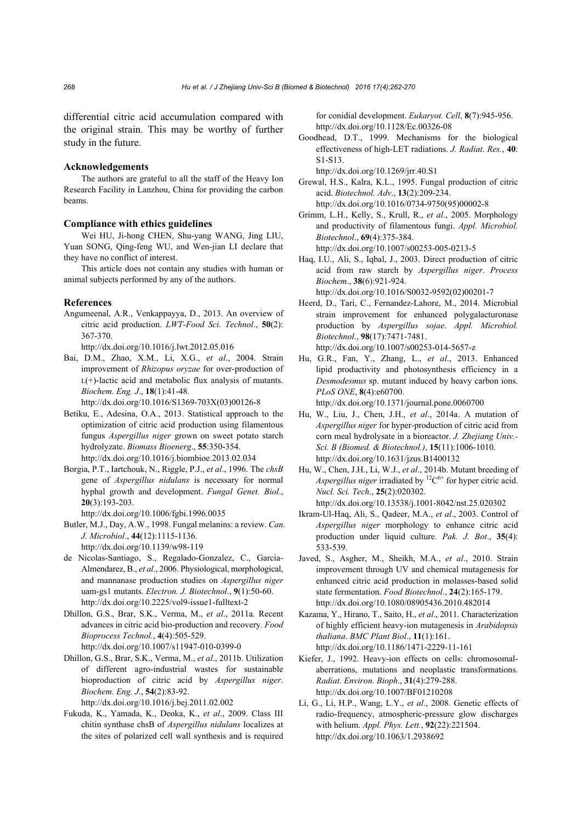differential citric acid accumulation compared with the original strain. This may be worthy of further study in the future.

#### **Acknowledgements**

The authors are grateful to all the staff of the Heavy Ion Research Facility in Lanzhou, China for providing the carbon beams.

#### **Compliance with ethics guidelines**

Wei HU, Ji-hong CHEN, Shu-yang WANG, Jing LIU, Yuan SONG, Qing-feng WU, and Wen-jian LI declare that they have no conflict of interest.

This article does not contain any studies with human or animal subjects performed by any of the authors.

#### **References**

Angumeenal, A.R., Venkappayya, D., 2013. An overview of citric acid production. *LWT-Food Sci. Technol*., **50**(2): 367-370.

http://dx.doi.org/10.1016/j.lwt.2012.05.016

Bai, D.M., Zhao, X.M., Li, X.G., *et al*., 2004. Strain improvement of *Rhizopus oryzae* for over-production of  $L(+)$ -lactic acid and metabolic flux analysis of mutants. *Biochem. Eng. J*., **18**(1):41-48.

http://dx.doi.org/10.1016/S1369-703X(03)00126-8

- Betiku, E., Adesina, O.A., 2013. Statistical approach to the optimization of citric acid production using filamentous fungus *Aspergillus niger* grown on sweet potato starch hydrolyzate. *Biomass Bioenerg*., **55**:350-354. http://dx.doi.org/10.1016/j.biombioe.2013.02.034
- Borgia, P.T., Iartchouk, N., Riggle, P.J., *et al*., 1996. The *chsB* gene of *Aspergillus nidulans* is necessary for normal hyphal growth and development. *Fungal Genet. Biol*., **20**(3):193-203.

http://dx.doi.org/10.1006/fgbi.1996.0035

Butler, M.J., Day, A.W., 1998. Fungal melanins: a review. *Can. J. Microbiol*., **44**(12):1115-1136. http://dx.doi.org/10.1139/w98-119

- de Nicolas-Santiago, S., Regalado-Gonzalez, C., Garcia-Almendarez, B., *et al*., 2006. Physiological, morphological, and mannanase production studies on *Aspergillus niger* uam-gs1 mutants. *Electron. J. Biotechnol*., **9**(1):50-60. http://dx.doi.org/10.2225/vol9-issue1-fulltext-2
- Dhillon, G.S., Brar, S.K., Verma, M., *et al*., 2011a. Recent advances in citric acid bio-production and recovery. *Food Bioprocess Technol.*, **4**(4):505-529. http://dx.doi.org/10.1007/s11947-010-0399-0
- Dhillon, G.S., Brar, S.K., Verma, M., *et al*., 2011b. Utilization of different agro-industrial wastes for sustainable bioproduction of citric acid by *Aspergillus niger*. *Biochem. Eng. J*., **54**(2):83-92.

http://dx.doi.org/10.1016/j.bej.2011.02.002

Fukuda, K., Yamada, K., Deoka, K., *et al*., 2009. Class III chitin synthase chsB of *Aspergillus nidulans* localizes at the sites of polarized cell wall synthesis and is required for conidial development. *Eukaryot. Cell*, **8**(7):945-956. http://dx.doi.org/10.1128/Ec.00326-08

Goodhead, D.T., 1999. Mechanisms for the biological effectiveness of high-LET radiations. *J. Radiat. Res.*, **40**: S1-S13.

http://dx.doi.org/10.1269/jrr.40.S1

Grewal, H.S., Kalra, K.L., 1995. Fungal production of citric acid. *Biotechnol. Adv*., **13**(2):209-234. http://dx.doi.org/10.1016/0734-9750(95)00002-8

Grimm, L.H., Kelly, S., Krull, R., *et al*., 2005. Morphology and productivity of filamentous fungi. *Appl. Microbiol. Biotechnol*., **69**(4):375-384. http://dx.doi.org/10.1007/s00253-005-0213-5

Haq, I.U., Ali, S., Iqbal, J., 2003. Direct production of citric acid from raw starch by *Aspergillus niger*. *Process Biochem*., **38**(6):921-924.

http://dx.doi.org/10.1016/S0032-9592(02)00201-7

- Heerd, D., Tari, C., Fernandez-Lahore, M., 2014. Microbial strain improvement for enhanced polygalacturonase production by *Aspergillus sojae*. *Appl. Microbiol. Biotechnol*., **98**(17):7471-7481. http://dx.doi.org/10.1007/s00253-014-5657-z
- Hu, G.R., Fan, Y., Zhang, L., *et al*., 2013. Enhanced lipid productivity and photosynthesis efficiency in a *Desmodesmus* sp. mutant induced by heavy carbon ions. *PLoS ONE*, **8**(4):e60700.

http://dx.doi.org/10.1371/journal.pone.0060700

- Hu, W., Liu, J., Chen, J.H., *et al*., 2014a. A mutation of *Aspergillus niger* for hyper-production of citric acid from corn meal hydrolysate in a bioreactor. *J. Zhejiang Univ.- Sci. B (Biomed. & Biotechnol.)*, **15**(11):1006-1010. http://dx.doi.org/10.1631/jzus.B1400132
- Hu, W., Chen, J.H., Li, W.J., *et al*., 2014b. Mutant breeding of *Aspergillus niger* irradiated by  ${}^{12}C^{6+}$  for hyper citric acid. *Nucl. Sci. Tech*., **25**(2):020302. http://dx.doi.org/10.13538/j.1001-8042/nst.25.020302
- Ikram-Ul-Haq, Ali, S., Qadeer, M.A., *et al*., 2003. Control of *Aspergillus niger* morphology to enhance citric acid production under liquid culture. *Pak. J. Bot*., **35**(4): 533-539.
- Javed, S., Asgher, M., Sheikh, M.A., *et al*., 2010. Strain improvement through UV and chemical mutagenesis for enhanced citric acid production in molasses-based solid state fermentation. *Food Biotechnol*., **24**(2):165-179. http://dx.doi.org/10.1080/08905436.2010.482014
- Kazama, Y., Hirano, T., Saito, H., *et al*., 2011. Characterization of highly efficient heavy-ion mutagenesis in *Arabidopsis thaliana*. *BMC Plant Biol*., **11**(1):161. http://dx.doi.org/10.1186/1471-2229-11-161
- Kiefer, J., 1992. Heavy-ion effects on cells: chromosomalaberrations, mutations and neoplastic transformations. *Radiat. Environ. Bioph*., **31**(4):279-288. http://dx.doi.org/10.1007/BF01210208
- Li, G., Li, H.P., Wang, L.Y., *et al*., 2008. Genetic effects of radio-frequency, atmospheric-pressure glow discharges with helium. *Appl. Phys. Lett.*, **92**(22):221504. http://dx.doi.org/10.1063/1.2938692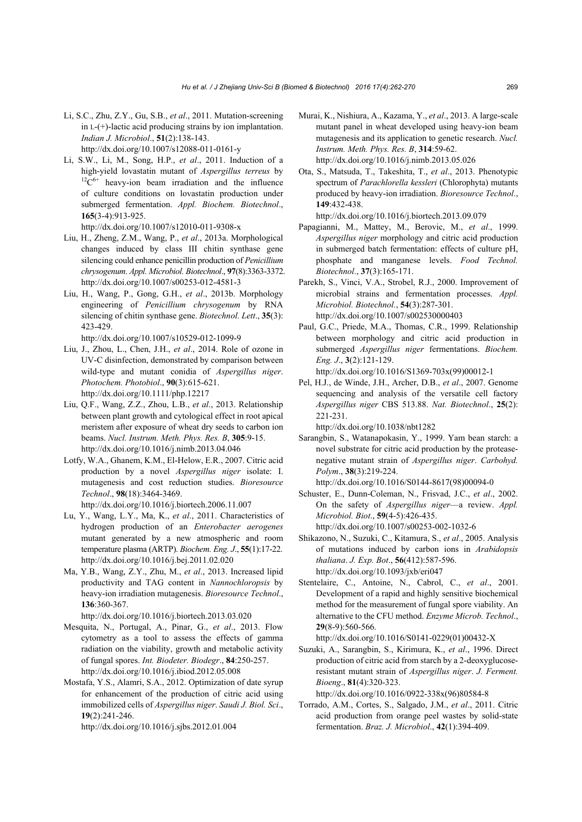- Li, S.C., Zhu, Z.Y., Gu, S.B., *et al*., 2011. Mutation-screening in L-(+)-lactic acid producing strains by ion implantation. *Indian J. Microbiol*., **51**(2):138-143. http://dx.doi.org/10.1007/s12088-011-0161-y
- Li, S.W., Li, M., Song, H.P., *et al*., 2011. Induction of a high-yield lovastatin mutant of *Aspergillus terreus* by <sup>12</sup>C<sup>6+</sup> heavy-ion beam irradiation and the influence of culture conditions on lovastatin production under submerged fermentation. *Appl. Biochem. Biotechnol*., **165**(3-4):913-925. http://dx.doi.org/10.1007/s12010-011-9308-x
- Liu, H., Zheng, Z.M., Wang, P., *et al*., 2013a. Morphological changes induced by class III chitin synthase gene silencing could enhance penicillin production of *Penicillium chrysogenum*. *Appl. Microbiol. Biotechnol*., **97**(8):3363-3372. http://dx.doi.org/10.1007/s00253-012-4581-3
- Liu, H., Wang, P., Gong, G.H., *et al*., 2013b. Morphology engineering of *Penicillium chrysogenum* by RNA silencing of chitin synthase gene. *Biotechnol. Lett*., **35**(3): 423-429.

http://dx.doi.org/10.1007/s10529-012-1099-9

- Liu, J., Zhou, L., Chen, J.H., *et al*., 2014. Role of ozone in UV-C disinfection, demonstrated by comparison between wild-type and mutant conidia of *Aspergillus niger*. *Photochem. Photobiol*., **90**(3):615-621. http://dx.doi.org/10.1111/php.12217
- Liu, Q.F., Wang, Z.Z., Zhou, L.B., *et al*., 2013. Relationship between plant growth and cytological effect in root apical meristem after exposure of wheat dry seeds to carbon ion beams. *Nucl. Instrum. Meth. Phys. Res. B*, **305**:9-15. http://dx.doi.org/10.1016/j.nimb.2013.04.046
- Lotfy, W.A., Ghanem, K.M., El-Helow, E.R., 2007. Citric acid production by a novel *Aspergillus niger* isolate: I. mutagenesis and cost reduction studies. *Bioresource Technol*., **98**(18):3464-3469. http://dx.doi.org/10.1016/j.biortech.2006.11.007
- Lu, Y., Wang, L.Y., Ma, K., *et al*., 2011. Characteristics of hydrogen production of an *Enterobacter aerogenes* mutant generated by a new atmospheric and room temperature plasma (ARTP). *Biochem. Eng. J*., **55**(1):17-22. http://dx.doi.org/10.1016/j.bej.2011.02.020
- Ma, Y.B., Wang, Z.Y., Zhu, M., *et al*., 2013. Increased lipid productivity and TAG content in *Nannochloropsis* by heavy-ion irradiation mutagenesis. *Bioresource Technol*., **136**:360-367.

http://dx.doi.org/10.1016/j.biortech.2013.03.020

- Mesquita, N., Portugal, A., Pinar, G., *et al*., 2013. Flow cytometry as a tool to assess the effects of gamma radiation on the viability, growth and metabolic activity of fungal spores. *Int. Biodeter. Biodegr*., **84**:250-257. http://dx.doi.org/10.1016/j.ibiod.2012.05.008
- Mostafa, Y.S., Alamri, S.A., 2012. Optimization of date syrup for enhancement of the production of citric acid using immobilized cells of *Aspergillus niger*. *Saudi J. Biol. Sci*., **19**(2):241-246.

http://dx.doi.org/10.1016/j.sjbs.2012.01.004

- Murai, K., Nishiura, A., Kazama, Y., *et al*., 2013. A large-scale mutant panel in wheat developed using heavy-ion beam mutagenesis and its application to genetic research. *Nucl. Instrum. Meth. Phys. Res. B*, **314**:59-62. http://dx.doi.org/10.1016/j.nimb.2013.05.026
- Ota, S., Matsuda, T., Takeshita, T., *et al*., 2013. Phenotypic spectrum of *Parachlorella kessleri* (Chlorophyta) mutants produced by heavy-ion irradiation. *Bioresource Technol*., **149**:432-438.

http://dx.doi.org/10.1016/j.biortech.2013.09.079

- Papagianni, M., Mattey, M., Berovic, M., *et al*., 1999. *Aspergillus niger* morphology and citric acid production in submerged batch fermentation: effects of culture pH, phosphate and manganese levels. *Food Technol. Biotechnol*., **37**(3):165-171.
- Parekh, S., Vinci, V.A., Strobel, R.J., 2000. Improvement of microbial strains and fermentation processes. *Appl. Microbiol. Biotechnol.*, **54**(3):287-301. http://dx.doi.org/10.1007/s002530000403
- Paul, G.C., Priede, M.A., Thomas, C.R., 1999. Relationship between morphology and citric acid production in submerged *Aspergillus niger* fermentations. *Biochem. Eng. J*., **3**(2):121-129.

http://dx.doi.org/10.1016/S1369-703x(99)00012-1

Pel, H.J., de Winde, J.H., Archer, D.B., *et al*., 2007. Genome sequencing and analysis of the versatile cell factory *Aspergillus niger* CBS 513.88. *Nat. Biotechnol*., **25**(2): 221-231.

http://dx.doi.org/10.1038/nbt1282

Sarangbin, S., Watanapokasin, Y., 1999. Yam bean starch: a novel substrate for citric acid production by the proteasenegative mutant strain of *Aspergillus niger*. *Carbohyd. Polym*., **38**(3):219-224.

http://dx.doi.org/10.1016/S0144-8617(98)00094-0

- Schuster, E., Dunn-Coleman, N., Frisvad, J.C., *et al*., 2002. On the safety of *Aspergillus niger*—a review. *Appl. Microbiol. Biot*., **59**(4-5):426-435. http://dx.doi.org/10.1007/s00253-002-1032-6
- Shikazono, N., Suzuki, C., Kitamura, S., *et al*., 2005. Analysis of mutations induced by carbon ions in *Arabidopsis thaliana*. *J. Exp. Bot*., **56**(412):587-596. http://dx.doi.org/10.1093/jxb/eri047
- Stentelaire, C., Antoine, N., Cabrol, C., *et al*., 2001. Development of a rapid and highly sensitive biochemical method for the measurement of fungal spore viability. An alternative to the CFU method. *Enzyme Microb. Technol*., **29**(8-9):560-566. http://dx.doi.org/10.1016/S0141-0229(01)00432-X

Suzuki, A., Sarangbin, S., Kirimura, K., *et al*., 1996. Direct production of citric acid from starch by a 2-deoxyglucoseresistant mutant strain of *Aspergillus niger*. *J. Ferment. Bioeng*., **81**(4):320-323.

http://dx.doi.org/10.1016/0922-338x(96)80584-8

Torrado, A.M., Cortes, S., Salgado, J.M., *et al*., 2011. Citric acid production from orange peel wastes by solid-state fermentation. *Braz. J. Microbiol*., **42**(1):394-409.